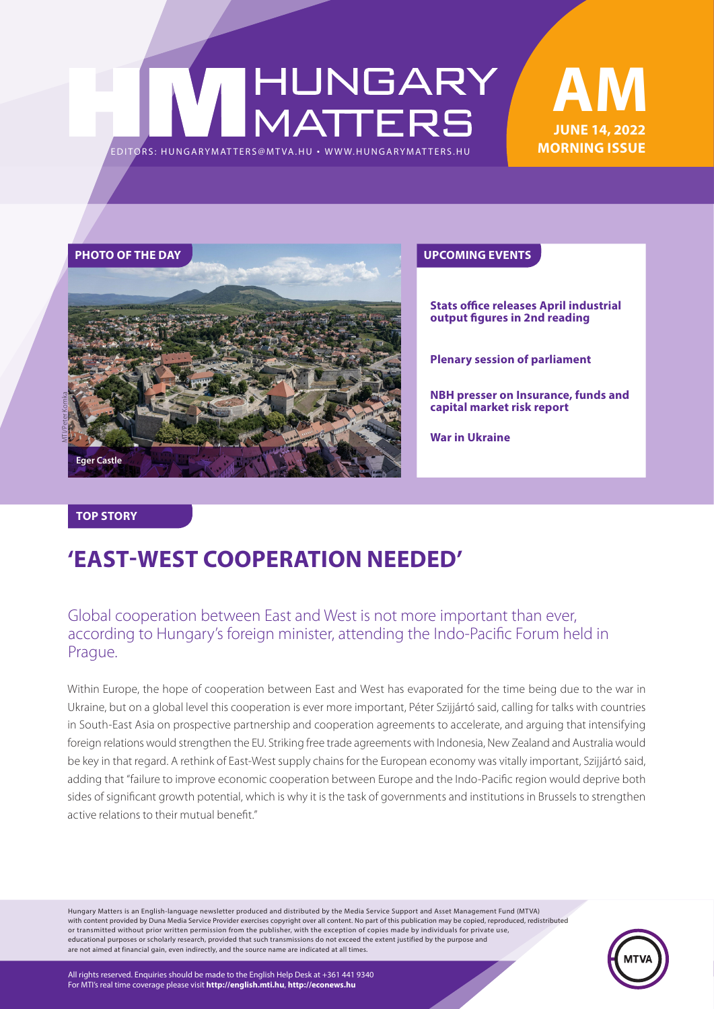# HUNGARY<br>MATTERS EDITORS: HUNGARYMAT TERS@MT VA.HU ¬ WWW.HUNGARYMAT TERS.HU





**Stats office releases April industrial output figures in 2nd reading**

**Plenary session of parliament**

**NBH presser on Insurance, funds and capital market risk report**

**War in Ukraine**

#### **TOP STORY**

### **'EAST-WEST COOPERATION NEEDED'**

### Global cooperation between East and West is not more important than ever, according to Hungary's foreign minister, attending the Indo-Pacific Forum held in Prague.

Within Europe, the hope of cooperation between East and West has evaporated for the time being due to the war in Ukraine, but on a global level this cooperation is ever more important, Péter Szijjártó said, calling for talks with countries in South-East Asia on prospective partnership and cooperation agreements to accelerate, and arguing that intensifying foreign relations would strengthen the EU. Striking free trade agreements with Indonesia, New Zealand and Australia would be key in that regard. A rethink of East-West supply chains for the European economy was vitally important, Szijjártó said, adding that "failure to improve economic cooperation between Europe and the Indo-Pacific region would deprive both sides of significant growth potential, which is why it is the task of governments and institutions in Brussels to strengthen active relations to their mutual benefit."

Hungary Matters is an English-language newsletter produced and distributed by the Media Service Support and Asset Management Fund (MTVA) with content provided by Duna Media Service Provider exercises copyright over all content. No part of this publication may be copied, reproduced, redistributed or transmitted without prior written permission from the publisher, with the exception of copies made by individuals for private use, educational purposes or scholarly research, provided that such transmissions do not exceed the extent justified by the purpose and are not aimed at financial gain, even indirectly, and the source name are indicated at all times.



All rights reserved. Enquiries should be made to the English Help Desk at +361 441 9340 For MTI's real time coverage please visit **http://english.mti.hu**, **http://econews.hu**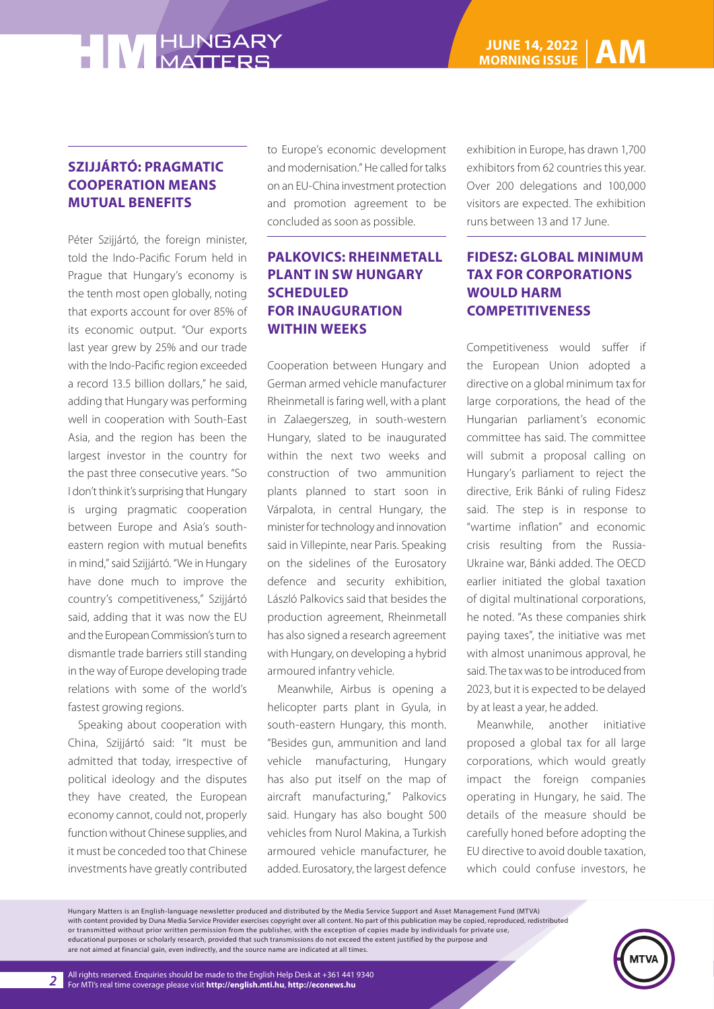## **HIM HUNGARY**

#### **SZIJJÁRTÓ: PRAGMATIC COOPERATION MEANS MUTUAL BENEFITS**

Péter Szijjártó, the foreign minister, told the Indo-Pacific Forum held in Prague that Hungary's economy is the tenth most open globally, noting that exports account for over 85% of its economic output. "Our exports last year grew by 25% and our trade with the Indo-Pacific region exceeded a record 13.5 billion dollars," he said, adding that Hungary was performing well in cooperation with South-East Asia, and the region has been the largest investor in the country for the past three consecutive years. "So I don't think it's surprising that Hungary is urging pragmatic cooperation between Europe and Asia's southeastern region with mutual benefits in mind," said Szijjártó. "We in Hungary have done much to improve the country's competitiveness," Szijjártó said, adding that it was now the EU and the European Commission's turn to dismantle trade barriers still standing in the way of Europe developing trade relations with some of the world's fastest growing regions.

Speaking about cooperation with China, Szijjártó said: "It must be admitted that today, irrespective of political ideology and the disputes they have created, the European economy cannot, could not, properly function without Chinese supplies, and it must be conceded too that Chinese investments have greatly contributed to Europe's economic development and modernisation." He called for talks on an EU-China investment protection and promotion agreement to be concluded as soon as possible.

#### **PALKOVICS: RHEINMETALL PLANT IN SW HUNGARY SCHEDULED FOR INAUGURATION WITHIN WEEKS**

Cooperation between Hungary and German armed vehicle manufacturer Rheinmetall is faring well, with a plant in Zalaegerszeg, in south-western Hungary, slated to be inaugurated within the next two weeks and construction of two ammunition plants planned to start soon in Várpalota, in central Hungary, the minister for technology and innovation said in Villepinte, near Paris. Speaking on the sidelines of the Eurosatory defence and security exhibition, László Palkovics said that besides the production agreement, Rheinmetall has also signed a research agreement with Hungary, on developing a hybrid armoured infantry vehicle.

Meanwhile, Airbus is opening a helicopter parts plant in Gyula, in south-eastern Hungary, this month. "Besides gun, ammunition and land vehicle manufacturing, Hungary has also put itself on the map of aircraft manufacturing," Palkovics said. Hungary has also bought 500 vehicles from Nurol Makina, a Turkish armoured vehicle manufacturer, he added. Eurosatory, the largest defence

exhibition in Europe, has drawn 1,700 exhibitors from 62 countries this year. Over 200 delegations and 100,000 visitors are expected. The exhibition runs between 13 and 17 June.

#### **FIDESZ: GLOBAL MINIMUM TAX FOR CORPORATIONS WOULD HARM COMPETITIVENESS**

Competitiveness would suffer if the European Union adopted a directive on a global minimum tax for large corporations, the head of the Hungarian parliament's economic committee has said. The committee will submit a proposal calling on Hungary's parliament to reject the directive, Erik Bánki of ruling Fidesz said. The step is in response to "wartime inflation" and economic crisis resulting from the Russia-Ukraine war, Bánki added. The OECD earlier initiated the global taxation of digital multinational corporations, he noted. "As these companies shirk paying taxes", the initiative was met with almost unanimous approval, he said. The tax was to be introduced from 2023, but it is expected to be delayed by at least a year, he added.

Meanwhile, another initiative proposed a global tax for all large corporations, which would greatly impact the foreign companies operating in Hungary, he said. The details of the measure should be carefully honed before adopting the EU directive to avoid double taxation, which could confuse investors, he

Hungary Matters is an English-language newsletter produced and distributed by the Media Service Support and Asset Management Fund (MTVA) with content provided by Duna Media Service Provider exercises copyright over all content. No part of this publication may be copied, reproduced, redistributed or transmitted without prior written permission from the publisher, with the exception of copies made by individuals for private use, educational purposes or scholarly research, provided that such transmissions do not exceed the extent justified by the purpose and are not aimed at financial gain, even indirectly, and the source name are indicated at all times.

*2*